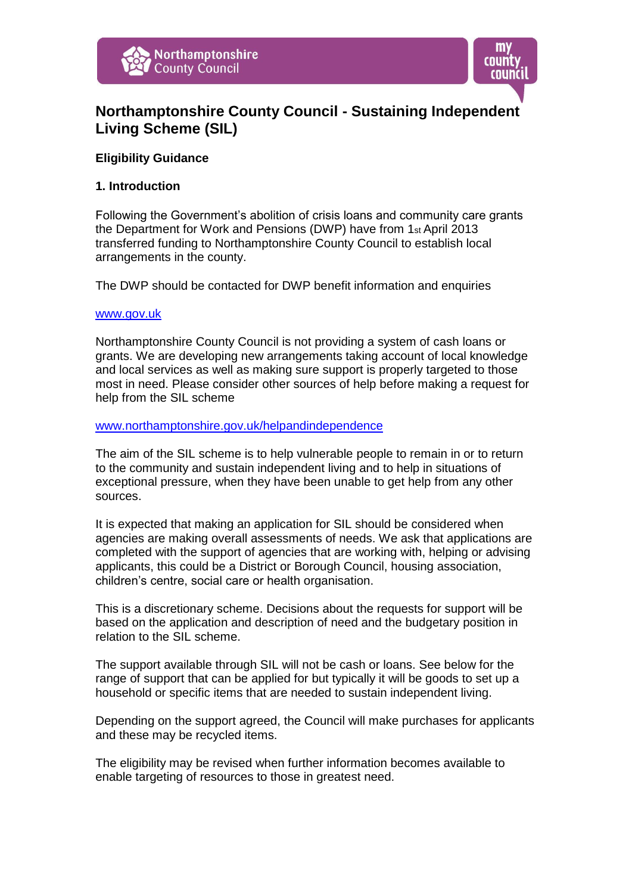



# **Northamptonshire County Council - Sustaining Independent Living Scheme (SIL)**

# **Eligibility Guidance**

#### **1. Introduction**

Following the Government's abolition of crisis loans and community care grants the Department for Work and Pensions (DWP) have from 1st April 2013 transferred funding to Northamptonshire County Council to establish local arrangements in the county.

The DWP should be contacted for DWP benefit information and enquiries

#### [www.gov.uk](www.gov.uk%20)

Northamptonshire County Council is not providing a system of cash loans or grants. We are developing new arrangements taking account of local knowledge and local services as well as making sure support is properly targeted to those most in need. Please consider other sources of help before making a request for help from the SIL scheme

#### <www.northamptonshire.gov.uk/helpandindependence>

The aim of the SIL scheme is to help vulnerable people to remain in or to return to the community and sustain independent living and to help in situations of exceptional pressure, when they have been unable to get help from any other sources.

It is expected that making an application for SIL should be considered when agencies are making overall assessments of needs. We ask that applications are completed with the support of agencies that are working with, helping or advising applicants, this could be a District or Borough Council, housing association, children's centre, social care or health organisation.

This is a discretionary scheme. Decisions about the requests for support will be based on the application and description of need and the budgetary position in relation to the SIL scheme.

The support available through SIL will not be cash or loans. See below for the range of support that can be applied for but typically it will be goods to set up a household or specific items that are needed to sustain independent living.

Depending on the support agreed, the Council will make purchases for applicants and these may be recycled items.

The eligibility may be revised when further information becomes available to enable targeting of resources to those in greatest need.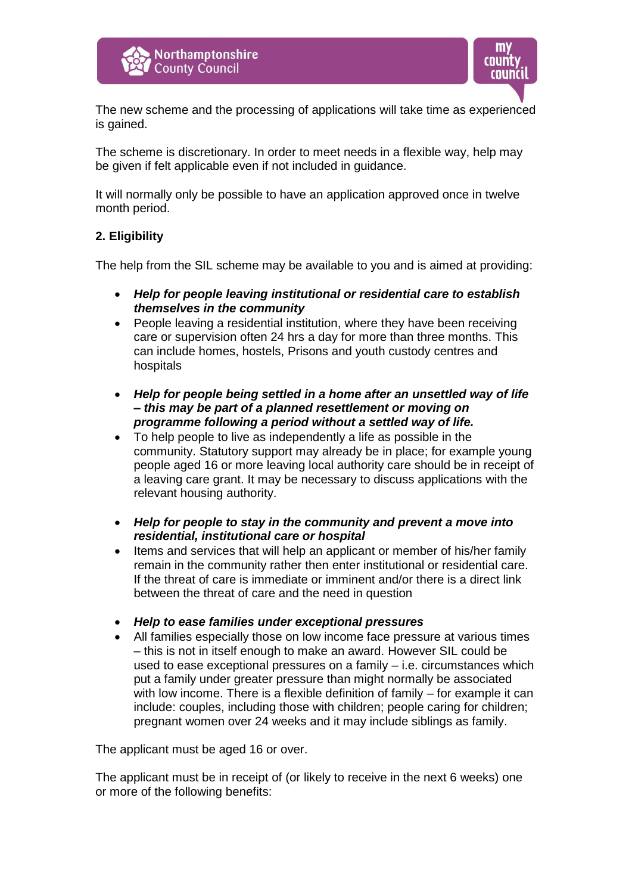



The new scheme and the processing of applications will take time as experienced is gained.

The scheme is discretionary. In order to meet needs in a flexible way, help may be given if felt applicable even if not included in guidance.

It will normally only be possible to have an application approved once in twelve month period.

# **2. Eligibility**

The help from the SIL scheme may be available to you and is aimed at providing:

- *Help for people leaving institutional or residential care to establish themselves in the community*
- People leaving a residential institution, where they have been receiving care or supervision often 24 hrs a day for more than three months. This can include homes, hostels, Prisons and youth custody centres and hospitals
- *Help for people being settled in a home after an unsettled way of life – this may be part of a planned resettlement or moving on programme following a period without a settled way of life.*
- To help people to live as independently a life as possible in the community. Statutory support may already be in place; for example young people aged 16 or more leaving local authority care should be in receipt of a leaving care grant. It may be necessary to discuss applications with the relevant housing authority.
- *Help for people to stay in the community and prevent a move into residential, institutional care or hospital*
- Items and services that will help an applicant or member of his/her family remain in the community rather then enter institutional or residential care. If the threat of care is immediate or imminent and/or there is a direct link between the threat of care and the need in question
- *Help to ease families under exceptional pressures*
- All families especially those on low income face pressure at various times – this is not in itself enough to make an award. However SIL could be used to ease exceptional pressures on a family – i.e. circumstances which put a family under greater pressure than might normally be associated with low income. There is a flexible definition of family – for example it can include: couples, including those with children; people caring for children; pregnant women over 24 weeks and it may include siblings as family.

The applicant must be aged 16 or over.

The applicant must be in receipt of (or likely to receive in the next 6 weeks) one or more of the following benefits: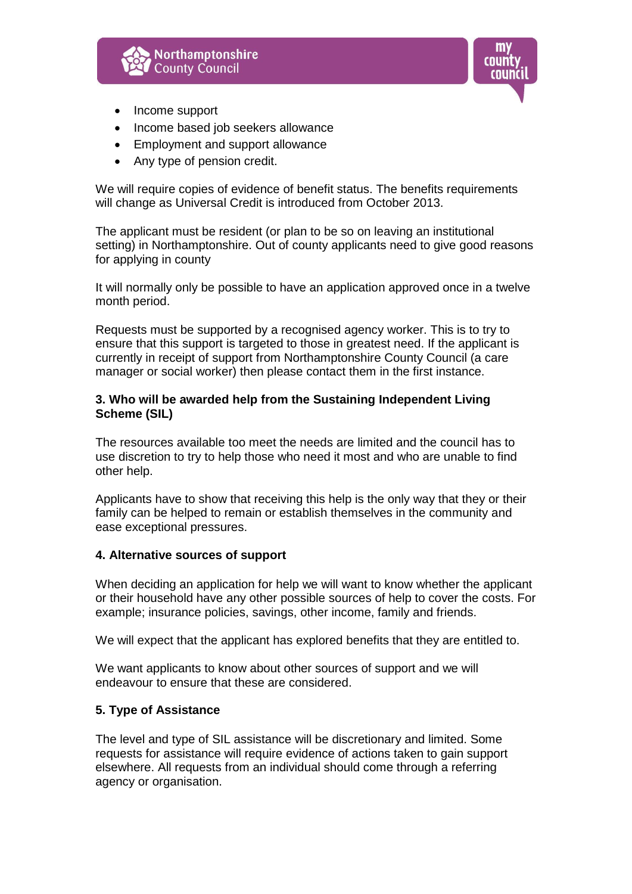



- Income support
- Income based job seekers allowance
- Employment and support allowance
- Any type of pension credit.

We will require copies of evidence of benefit status. The benefits requirements will change as Universal Credit is introduced from October 2013.

The applicant must be resident (or plan to be so on leaving an institutional setting) in Northamptonshire. Out of county applicants need to give good reasons for applying in county

It will normally only be possible to have an application approved once in a twelve month period.

Requests must be supported by a recognised agency worker. This is to try to ensure that this support is targeted to those in greatest need. If the applicant is currently in receipt of support from Northamptonshire County Council (a care manager or social worker) then please contact them in the first instance.

# **3. Who will be awarded help from the Sustaining Independent Living Scheme (SIL)**

The resources available too meet the needs are limited and the council has to use discretion to try to help those who need it most and who are unable to find other help.

Applicants have to show that receiving this help is the only way that they or their family can be helped to remain or establish themselves in the community and ease exceptional pressures.

#### **4. Alternative sources of support**

When deciding an application for help we will want to know whether the applicant or their household have any other possible sources of help to cover the costs. For example; insurance policies, savings, other income, family and friends.

We will expect that the applicant has explored benefits that they are entitled to.

We want applicants to know about other sources of support and we will endeavour to ensure that these are considered.

#### **5. Type of Assistance**

The level and type of SIL assistance will be discretionary and limited. Some requests for assistance will require evidence of actions taken to gain support elsewhere. All requests from an individual should come through a referring agency or organisation.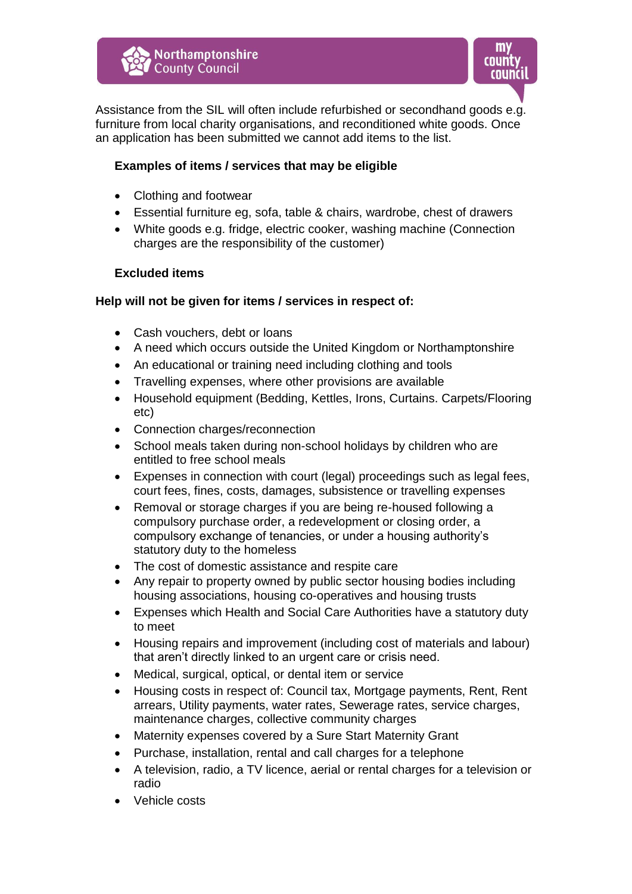

Assistance from the SIL will often include refurbished or secondhand goods e.g. furniture from local charity organisations, and reconditioned white goods. Once an application has been submitted we cannot add items to the list.

# **Examples of items / services that may be eligible**

- Clothing and footwear
- Essential furniture eg, sofa, table & chairs, wardrobe, chest of drawers
- White goods e.g. fridge, electric cooker, washing machine (Connection charges are the responsibility of the customer)

# **Excluded items**

# **Help will not be given for items / services in respect of:**

- Cash vouchers, debt or loans
- A need which occurs outside the United Kingdom or Northamptonshire
- An educational or training need including clothing and tools
- Travelling expenses, where other provisions are available
- Household equipment (Bedding, Kettles, Irons, Curtains. Carpets/Flooring etc)
- Connection charges/reconnection
- School meals taken during non-school holidays by children who are entitled to free school meals
- Expenses in connection with court (legal) proceedings such as legal fees, court fees, fines, costs, damages, subsistence or travelling expenses
- Removal or storage charges if you are being re-housed following a compulsory purchase order, a redevelopment or closing order, a compulsory exchange of tenancies, or under a housing authority's statutory duty to the homeless
- The cost of domestic assistance and respite care
- Any repair to property owned by public sector housing bodies including housing associations, housing co-operatives and housing trusts
- Expenses which Health and Social Care Authorities have a statutory duty to meet
- Housing repairs and improvement (including cost of materials and labour) that aren't directly linked to an urgent care or crisis need.
- Medical, surgical, optical, or dental item or service
- Housing costs in respect of: Council tax, Mortgage payments, Rent, Rent arrears, Utility payments, water rates, Sewerage rates, service charges, maintenance charges, collective community charges
- Maternity expenses covered by a Sure Start Maternity Grant
- Purchase, installation, rental and call charges for a telephone
- A television, radio, a TV licence, aerial or rental charges for a television or radio
- Vehicle costs